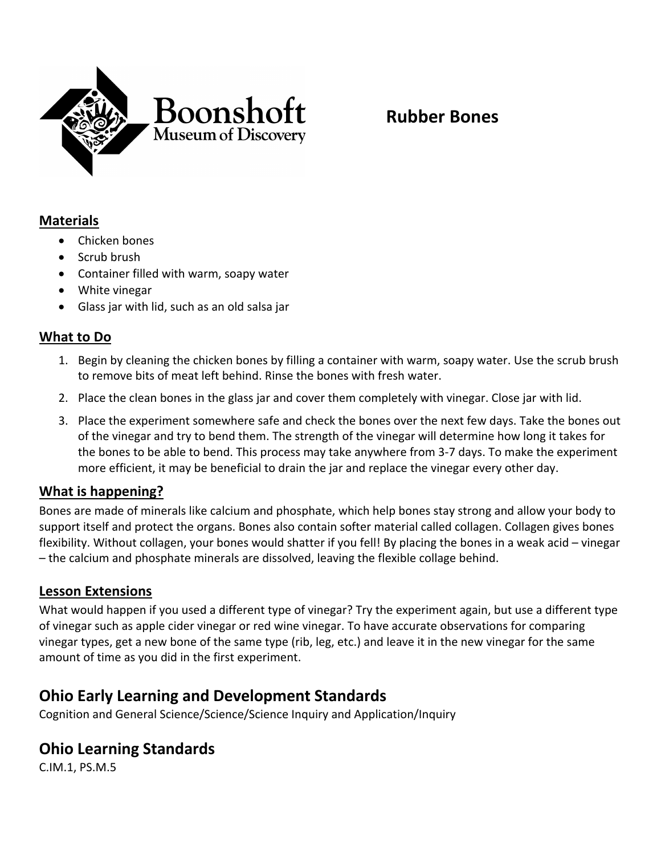

## **Materials**

- Chicken bones
- Scrub brush
- Container filled with warm, soapy water
- White vinegar
- Glass jar with lid, such as an old salsa jar

### **What to Do**

- 1. Begin by cleaning the chicken bones by filling a container with warm, soapy water. Use the scrub brush to remove bits of meat left behind. Rinse the bones with fresh water.
- 2. Place the clean bones in the glass jar and cover them completely with vinegar. Close jar with lid.
- 3. Place the experiment somewhere safe and check the bones over the next few days. Take the bones out of the vinegar and try to bend them. The strength of the vinegar will determine how long it takes for the bones to be able to bend. This process may take anywhere from 3-7 days. To make the experiment more efficient, it may be beneficial to drain the jar and replace the vinegar every other day.

#### **What is happening?**

Bones are made of minerals like calcium and phosphate, which help bones stay strong and allow your body to support itself and protect the organs. Bones also contain softer material called collagen. Collagen gives bones flexibility. Without collagen, your bones would shatter if you fell! By placing the bones in a weak acid – vinegar – the calcium and phosphate minerals are dissolved, leaving the flexible collage behind.

#### **Lesson Extensions**

What would happen if you used a different type of vinegar? Try the experiment again, but use a different type of vinegar such as apple cider vinegar or red wine vinegar. To have accurate observations for comparing vinegar types, get a new bone of the same type (rib, leg, etc.) and leave it in the new vinegar for the same amount of time as you did in the first experiment.

## **Ohio Early Learning and Development Standards**

Cognition and General Science/Science/Science Inquiry and Application/Inquiry

## **Ohio Learning Standards**

C.IM.1, PS.M.5